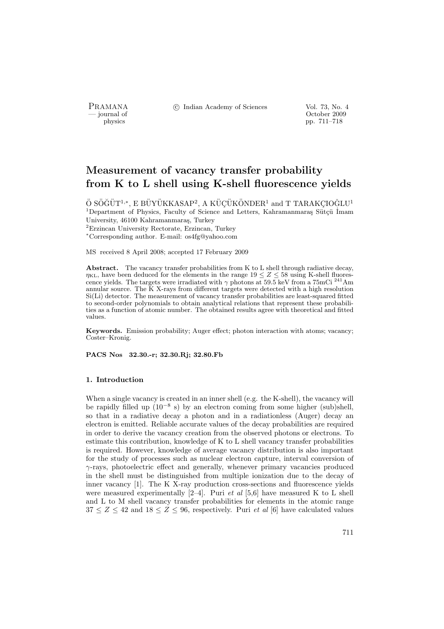PRAMANA <sup>C</sup> Indian Academy of Sciences Vol. 73, No. 4<br>
— journal of Cortober 2009

position of the contract of the contract of the contract of the contract of the contract of the contract of the contract of the contract of the contract of the contract of the contract of the contract of the contract of th pp. 711–718

# Measurement of vacancy transfer probability from K to L shell using K-shell fluorescence yields

 $\ddot{\mathrm{O}}$  SÖĞÜT $^{1,*}$ , E BÜYÜKKASAP<sup>2</sup>, A KÜÇÜKÖNDER $^1$  and T TARAKÇIOĞLU $^1$  $1$ Department of Physics, Faculty of Science and Letters, Kahramanmaraş Sütçü İmam University, 46100 Kahramanmaras, Turkey <sup>2</sup>Erzincan University Rectorate, Erzincan, Turkey <sup>∗</sup>Corresponding author. E-mail: os4fg@yahoo.com

MS received 8 April 2008; accepted 17 February 2009

Abstract. The vacancy transfer probabilities from K to L shell through radiative decay,  $\eta_{\text{KL}}$ , have been deduced for the elements in the range  $19 \leq Z \leq 58$  using K-shell fluorescence yields. The targets were irradiated with  $\gamma$  photons at 59.5 keV from a 75mCi <sup>241</sup>Am annular source. The K X-rays from different targets were detected with a high resolution Si(Li) detector. The measurement of vacancy transfer probabilities are least-squared fitted to second-order polynomials to obtain analytical relations that represent these probabilities as a function of atomic number. The obtained results agree with theoretical and fitted values.

Keywords. Emission probability; Auger effect; photon interaction with atoms; vacancy; Coster–Kronig.

PACS Nos 32.30.-r; 32.30.Rj; 32.80.Fb

#### 1. Introduction

When a single vacancy is created in an inner shell (e.g. the K-shell), the vacancy will be rapidly filled up  $(10^{-8} s)$  by an electron coming from some higher (sub)shell, so that in a radiative decay a photon and in a radiationless (Auger) decay an electron is emitted. Reliable accurate values of the decay probabilities are required in order to derive the vacancy creation from the observed photons or electrons. To estimate this contribution, knowledge of K to L shell vacancy transfer probabilities is required. However, knowledge of average vacancy distribution is also important for the study of processes such as nuclear electron capture, interval conversion of  $\gamma$ -rays, photoelectric effect and generally, whenever primary vacancies produced in the shell must be distinguished from multiple ionization due to the decay of inner vacancy [1]. The K X-ray production cross-sections and fluorescence yields were measured experimentally  $[2-4]$ . Puri *et al* [5,6] have measured K to L shell and L to M shell vacancy transfer probabilities for elements in the atomic range  $37 \leq Z \leq 42$  and  $18 \leq Z \leq 96$ , respectively. Puri *et al* [6] have calculated values

711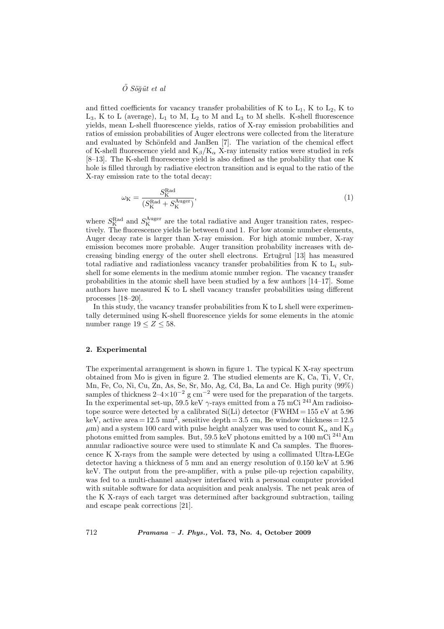# $\ddot{O}$  Söğüt et al

and fitted coefficients for vacancy transfer probabilities of K to  $L_1$ , K to  $L_2$ , K to  $L_3$ , K to L (average),  $L_1$  to M,  $L_2$  to M and  $L_3$  to M shells. K-shell fluorescence yields, mean L-shell fluorescence yields, ratios of X-ray emission probabilities and ratios of emission probabilities of Auger electrons were collected from the literature and evaluated by Schönfeld and JanBen [7]. The variation of the chemical effect of K-shell fluorescence yield and  $K_\beta/K_\alpha$  X-ray intensity ratios were studied in refs [8–13]. The K-shell fluorescence yield is also defined as the probability that one K hole is filled through by radiative electron transition and is equal to the ratio of the X-ray emission rate to the total decay:

$$
\omega_{\mathcal{K}} = \frac{S_{\mathcal{K}}^{\text{Rad}}}{(S_{\mathcal{K}}^{\text{Rad}} + S_{\mathcal{K}}^{\text{Auger}})},\tag{1}
$$

where  $S_{\rm K}^{\rm Rad}$  and  $S_{\rm K}^{\rm Auger}$  are the total radiative and Auger transition rates, respectively. The fluorescence yields lie between 0 and 1. For low atomic number elements, Auger decay rate is larger than X-ray emission. For high atomic number, X-ray emission becomes more probable. Auger transition probability increases with decreasing binding energy of the outer shell electrons. Ertuğrul [13] has measured total radiative and radiationless vacancy transfer probabilities from K to  $L_i$  subshell for some elements in the medium atomic number region. The vacancy transfer probabilities in the atomic shell have been studied by a few authors  $[14-17]$ . Some authors have measured K to L shell vacancy transfer probabilities using different processes [18–20].

In this study, the vacancy transfer probabilities from K to L shell were experimentally determined using K-shell fluorescence yields for some elements in the atomic number range  $19 \leq Z \leq 58$ .

### 2. Experimental

The experimental arrangement is shown in figure 1. The typical K X-ray spectrum obtained from Mo is given in figure 2. The studied elements are K, Ca, Ti, V, Cr, Mn, Fe, Co, Ni, Cu, Zn, As, Se, Sr, Mo, Ag, Cd, Ba, La and Ce. High purity (99%) samples of thickness  $2-4\times10^{-2}$  g cm<sup>-2</sup> were used for the preparation of the targets. In the experimental set-up, 59.5 keV  $\gamma$ -rays emitted from a 75 mCi <sup>241</sup>Am radioisotope source were detected by a calibrated  $Si(Li)$  detector (FWHM = 155 eV at 5.96 keV, active area = 12.5 mm<sup>2</sup>, sensitive depth = 3.5 cm, Be window thickness = 12.5  $\mu$ m) and a system 100 card with pulse height analyzer was used to count  $K_{\alpha}$  and  $K_{\beta}$ photons emitted from samples. But, 59.5 keV photons emitted by a 100 mCi <sup>241</sup>Am annular radioactive source were used to stimulate K and Ca samples. The fluorescence K X-rays from the sample were detected by using a collimated Ultra-LEGe detector having a thickness of 5 mm and an energy resolution of 0.150 keV at 5.96 keV. The output from the pre-amplifier, with a pulse pile-up rejection capability, was fed to a multi-channel analyser interfaced with a personal computer provided with suitable software for data acquisition and peak analysis. The net peak area of the K X-rays of each target was determined after background subtraction, tailing and escape peak corrections [21].

712 Pramana – J. Phys., Vol. 73, No. 4, October 2009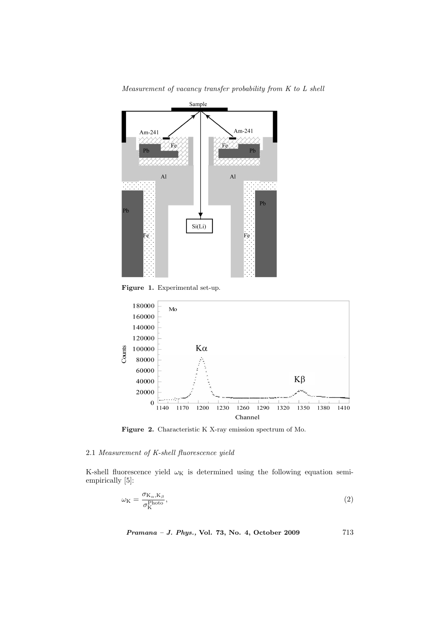

Measurement of vacancy transfer probability from K to L shell

Figure 1. Experimental set-up.



Figure 2. Characteristic K X-ray emission spectrum of Mo.

## 2.1 Measurement of K-shell fluorescence yield

K-shell fluorescence yield  $\omega_\mathrm{K}$  is determined using the following equation semiempirically [5]:

$$
\omega_{\mathcal{K}} = \frac{\sigma_{\mathcal{K}_{\alpha},\mathcal{K}_{\beta}}}{\sigma_{\mathcal{K}}^{\text{Photo}}},\tag{2}
$$

Pramana – J. Phys., Vol. 73, No. 4, October 2009 713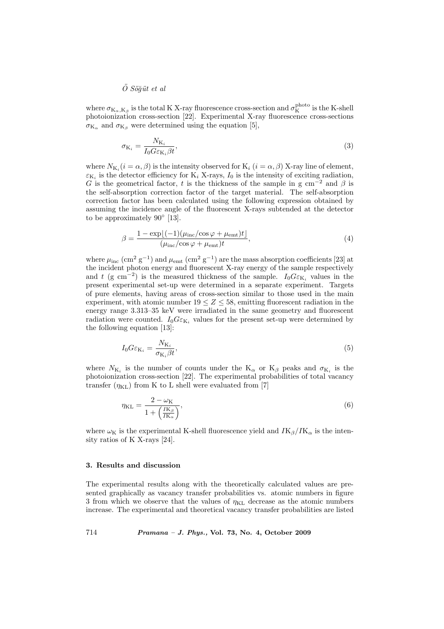$\ddot{O}$  Söğüt et al

where  $\sigma_{K_\alpha,K_\beta}$  is the total K X-ray fluorescence cross-section and  $\sigma_K^{\rm photo}$  is the K-shell photoionization cross-section [22]. Experimental X-ray fluorescence cross-sections  $\sigma_{K_{\alpha}}$  and  $\sigma_{K_{\beta}}$  were determined using the equation [5],

$$
\sigma_{\mathbf{K}_i} = \frac{N_{\mathbf{K}_i}}{I_0 G \varepsilon_{\mathbf{K}_i} \beta t},\tag{3}
$$

where  $N_{\mathrm{K}_i}(i=\alpha,\beta)$  is the intensity observed for  $\mathrm{K}_i$   $(i=\alpha,\beta)$  X-ray line of element,  $\varepsilon_{\mathrm{K}_i}$  is the detector efficiency for  $\mathrm{K}_i$  X-rays,  $I_0$  is the intensity of exciting radiation, G is the geometrical factor, t is the thickness of the sample in g cm<sup>-2</sup> and  $\beta$  is the self-absorption correction factor of the target material. The self-absorption correction factor has been calculated using the following expression obtained by assuming the incidence angle of the fluorescent X-rays subtended at the detector to be approximately  $90^{\circ}$  [13].

$$
\beta = \frac{1 - \exp[(-1)(\mu_{\text{inc}}/\cos\varphi + \mu_{\text{emt}})t]}{(\mu_{\text{inc}}/\cos\varphi + \mu_{\text{emt}})t},\tag{4}
$$

where  $\mu_{\text{inc}}$  (cm<sup>2</sup> g<sup>-1</sup>) and  $\mu_{\text{emt}}$  (cm<sup>2</sup> g<sup>-1</sup>) are the mass absorption coefficients [23] at the incident photon energy and fluorescent X-ray energy of the sample respectively and t (g cm<sup>-2</sup>) is the measured thickness of the sample.  $I_0G\varepsilon_{K_i}$  values in the present experimental set-up were determined in a separate experiment. Targets of pure elements, having areas of cross-section similar to those used in the main experiment, with atomic number  $19 \le Z \le 58$ , emitting fluorescent radiation in the energy range 3.313–35 keV were irradiated in the same geometry and fluorescent radiation were counted.  $I_0G\varepsilon_{\text{K}_i}$  values for the present set-up were determined by the following equation [13]:

$$
I_0 G \varepsilon_{\mathcal{K}_i} = \frac{N_{\mathcal{K}_i}}{\sigma_{\mathcal{K}_i} \beta t},\tag{5}
$$

where  $N_{K_i}$  is the number of counts under the  $K_{\alpha}$  or  $K_{\beta}$  peaks and  $\sigma_{K_i}$  is the photoionization cross-section [22]. The experimental probabilities of total vacancy transfer  $(\eta_{KL})$  from K to L shell were evaluated from [7]

$$
\eta_{\text{KL}} = \frac{2 - \omega_{\text{K}}}{1 + \left(\frac{I\text{K}_{\beta}}{I\text{K}_{\alpha}}\right)},\tag{6}
$$

where  $\omega_K$  is the experimental K-shell fluorescence yield and  $IK_\beta/K_\alpha$  is the intensity ratios of K X-rays [24].

#### 3. Results and discussion

The experimental results along with the theoretically calculated values are presented graphically as vacancy transfer probabilities vs. atomic numbers in figure 3 from which we observe that the values of  $\eta_{KL}$  decrease as the atomic numbers increase. The experimental and theoretical vacancy transfer probabilities are listed

714 Pramana – J. Phys., Vol. 73, No. 4, October 2009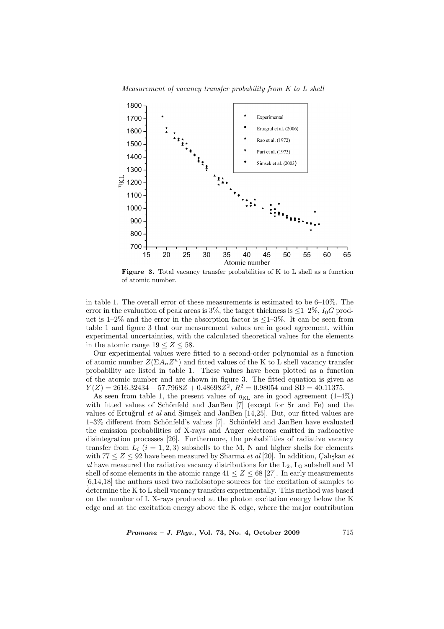



Figure 3. Total vacancy transfer probabilities of K to L shell as a function of atomic number.

in table 1. The overall error of these measurements is estimated to be 6–10%. The error in the evaluation of peak areas is  $3\%$ , the target thickness is  $\leq 1-2\%$ ,  $I_0G$  product is  $1-2\%$  and the error in the absorption factor is  $\leq 1-3\%$ . It can be seen from table 1 and figure 3 that our measurement values are in good agreement, within experimental uncertainties, with the calculated theoretical values for the elements in the atomic range  $19 \le Z \le 58$ .

Our experimental values were fitted to a second-order polynomial as a function of atomic number  $Z(\Sigma A_n Z^n)$  and fitted values of the K to L shell vacancy transfer probability are listed in table 1. These values have been plotted as a function of the atomic number and are shown in figure 3. The fitted equation is given as  $Y(Z) = 2616.32434 - 57.7968Z + 0.48698Z^2$ ,  $R^2 = 0.98054$  and SD = 40.11375.

As seen from table 1, the present values of  $\eta_{\text{KL}}$  are in good agreement (1–4%) with fitted values of Schönfeld and JanBen [7] (except for Sr and Fe) and the values of Ertuğrul et al and Simsek and JanBen  $[14,25]$ . But, our fitted values are 1–3% different from Schönfeld's values [7]. Schönfeld and JanBen have evaluated the emission probabilities of X-rays and Auger electrons emitted in radioactive disintegration processes [26]. Furthermore, the probabilities of radiative vacancy transfer from  $L_i$   $(i = 1, 2, 3)$  subshells to the M, N and higher shells for elements with  $77 \leq Z \leq 92$  have been measured by Sharma *et al* [20]. In addition, Calışkan *et* al have measured the radiative vacancy distributions for the  $L_2$ ,  $L_3$  subshell and M shell of some elements in the atomic range  $41 \leq Z \leq 68$  [27]. In early measurements [6,14,18] the authors used two radioisotope sources for the excitation of samples to determine the K to L shell vacancy transfers experimentally. This method was based on the number of L X-rays produced at the photon excitation energy below the K edge and at the excitation energy above the K edge, where the major contribution

 $Pramana - J. Phys., Vol. 73, No. 4, October 2009 715$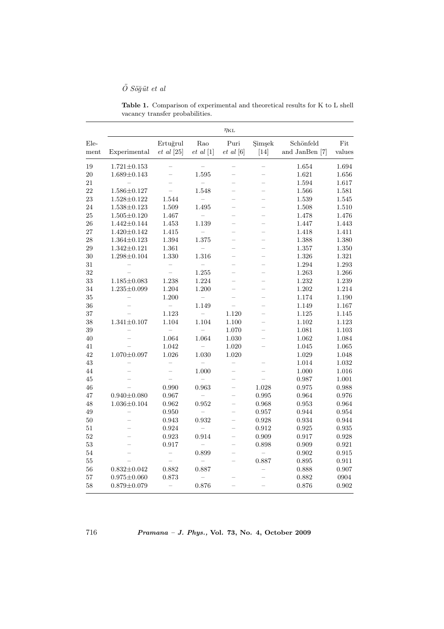# $\ddot{O} S\ddot{o} \ddot{g} \ddot{u}t$  et al

Table 1. Comparison of experimental and theoretical results for K to L shell vacancy transfer probabilities.

|              | $\eta_{\text{KL}}$ |                              |                          |                          |                          |                             |               |
|--------------|--------------------|------------------------------|--------------------------|--------------------------|--------------------------|-----------------------------|---------------|
| Ele-<br>ment | Experimental       | Ertuğrul<br>$et \ al \ [25]$ | Rao<br>$et \ al \ [1]$   | Puri<br>$et \ al \ [6]$  | Simsek<br>$[14]$         | Schönfeld<br>and JanBen [7] | Fit<br>values |
| 19           | $1.721 \pm 0.153$  |                              |                          |                          |                          | 1.654                       | 1.694         |
| $20\,$       | $1.689 \pm 0.143$  | $\overline{a}$               | 1.595                    | $\overline{a}$           | $\overline{\phantom{0}}$ | 1.621                       | 1.656         |
| 21           | $=$                |                              |                          | $\overline{a}$           | $\overline{a}$           | 1.594                       | 1.617         |
| 22           | $1.586 \pm 0.127$  | L                            | 1.548                    | $\overline{\phantom{0}}$ | $\overline{\phantom{0}}$ | 1.566                       | 1.581         |
| 23           | $1.528 \pm 0.122$  | 1.544                        |                          | $\overline{a}$           | $\overline{a}$           | 1.539                       | 1.545         |
| 24           | $1.538 \pm 0.123$  | 1.509                        | 1.495                    |                          |                          | 1.508                       | 1.510         |
| 25           | $1.505 \pm 0.120$  | 1.467                        |                          | $\overline{\phantom{0}}$ | $\overline{\phantom{0}}$ | 1.478                       | 1.476         |
| 26           | $1.442 \pm 0.144$  | 1.453                        | 1.139                    | $\equiv$                 | $\overline{\phantom{0}}$ | 1.447                       | 1.443         |
| 27           | $1.420 \pm 0.142$  | 1.415                        |                          |                          |                          | 1.418                       | 1.411         |
| 28           | $1.364 \pm 0.123$  | 1.394                        | 1.375                    | $\equiv$                 | $\equiv$                 | 1.388                       | 1.380         |
| 29           | $1.342 \pm 0.121$  | 1.361                        |                          |                          |                          | 1.357                       | 1.350         |
| 30           | $1.298 \pm 0.104$  | 1.330                        | 1.316                    |                          |                          | 1.326                       | 1.321         |
| 31           | $\equiv$           | $\overline{\phantom{0}}$     | $\overline{a}$           | $\overline{\phantom{0}}$ | $\equiv$                 | 1.294                       | 1.293         |
| 32           | $=$                | $\equiv$                     | 1.255                    | $\overline{\phantom{0}}$ | $\overline{\phantom{0}}$ | 1.263                       | 1.266         |
| 33           | $1.185 \pm 0.083$  | 1.238                        | 1.224                    | $\equiv$                 | L.                       | 1.232                       | 1.239         |
| 34           | $1.235 \pm 0.099$  | 1.204                        | 1.200                    |                          |                          | 1.202                       | 1.214         |
| $35\,$       |                    | 1.200                        | $\equiv$                 |                          |                          | 1.174                       | 1.190         |
| 36           |                    | $\overline{a}$               | 1.149                    | $\overline{a}$           |                          | 1.149                       | 1.167         |
| 37           |                    | 1.123                        | $\overline{\phantom{0}}$ | 1.120                    | $\overline{\phantom{0}}$ | 1.125                       | 1.145         |
| 38           | $1.341 \pm 0.107$  | 1.104                        | 1.104                    | 1.100                    | $\overline{\phantom{0}}$ | 1.102                       | 1.123         |
| 39           |                    |                              |                          | 1.070                    |                          | 1.081                       | 1.103         |
| 40           |                    | 1.064                        | 1.064                    | $1.030\,$                |                          | 1.062                       | 1.084         |
| 41           |                    | 1.042                        |                          | 1.020                    |                          | 1.045                       | 1.065         |
| 42           | $1.070 \pm 0.097$  | 1.026                        | 1.030                    | 1.020                    |                          | 1.029                       | 1.048         |
| 43           |                    |                              |                          |                          |                          | 1.014                       | 1.032         |
| 44           |                    |                              | 1.000                    |                          |                          | 1.000                       | 1.016         |
| 45           |                    | $\equiv$                     |                          | $\overline{\phantom{0}}$ |                          | 0.987                       | 1.001         |
| 46           |                    | 0.990                        | 0.963                    | $\overline{a}$           | 1.028                    | 0.975                       | 0.988         |
| 47           | $0.940 \pm 0.080$  | 0.967                        |                          | $\overline{\phantom{0}}$ | 0.995                    | 0.964                       | 0.976         |
| 48           | $1.036 \pm 0.104$  | 0.962                        | 0.952                    | $\equiv$                 | 0.968                    | 0.953                       | 0.964         |
| 49           | $\equiv$           | 0.950                        |                          | $\overline{\phantom{0}}$ | 0.957                    | 0.944                       | 0.954         |
| $50\,$       |                    | 0.943                        | ${0.932}$                | $\overline{\phantom{0}}$ | 0.928                    | 0.934                       | 0.944         |
| 51           |                    | 0.924                        |                          | -                        | 0.912                    | 0.925                       | 0.935         |
| $52\,$       |                    | 0.923                        | 0.914                    | $-$                      | 0.909                    | 0.917                       | 0.928         |
| 53           |                    | 0.917                        |                          |                          | 0.898                    | 0.909                       | 0.921         |
| 54           |                    | $\overline{\phantom{0}}$     | 0.899                    | $\overline{\phantom{0}}$ | $\overline{a}$           | 0.902                       | 0.915         |
| 55           |                    | $=$                          |                          | $\overline{a}$           | 0.887                    | 0.895                       | 0.911         |
| 56           | $0.832 \pm 0.042$  | 0.882                        | 0.887                    |                          |                          | 0.888                       | 0.907         |
| 57           | $0.975 \pm 0.060$  | 0.873                        |                          |                          |                          | 0.882                       | 0904          |
| 58           | $0.879 \pm 0.079$  | $\overline{\phantom{0}}$     | 0.876                    |                          |                          | 0.876                       | 0.902         |

716 Pramana – J. Phys., Vol. 73, No. 4, October 2009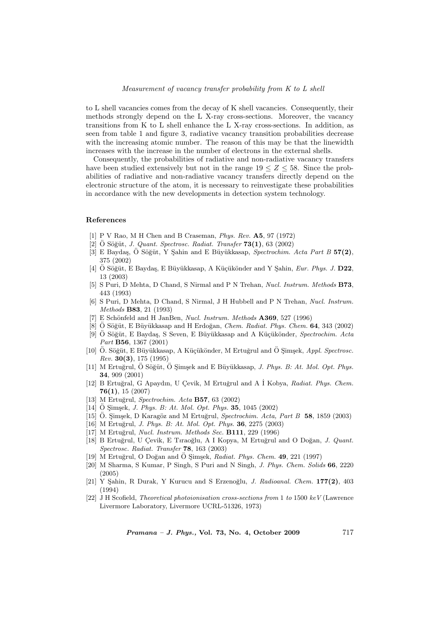to L shell vacancies comes from the decay of K shell vacancies. Consequently, their methods strongly depend on the L X-ray cross-sections. Moreover, the vacancy transitions from K to L shell enhance the L X-ray cross-sections. In addition, as seen from table 1 and figure 3, radiative vacancy transition probabilities decrease with the increasing atomic number. The reason of this may be that the linewidth increases with the increase in the number of electrons in the external shells.

Consequently, the probabilities of radiative and non-radiative vacancy transfers have been studied extensively but not in the range  $19 \le Z \le 58$ . Since the probabilities of radiative and non-radiative vacancy transfers directly depend on the electronic structure of the atom, it is necessary to reinvestigate these probabilities in accordance with the new developments in detection system technology.

#### References

- [1] P V Rao, M H Chen and B Craseman, Phys. Rev. A5, 97 (1972)
- $[2]$  Ö Söğüt, J. Quant. Spectrosc. Radiat. Transfer  $73(1)$ , 63 (2002)
- [3] E Baydaş, Ö Söğüt, Y Sahin and E Büyükkasap, Spectrochim. Acta Part B  $57(2)$ , 375 (2002)
- [4] Ö Söğüt, E Baydaş, E Büyükkasap, A Küçükönder and Y Sahin, Eur. Phys. J. D22, 13 (2003)
- [5] S Puri, D Mehta, D Chand, S Nirmal and P N Trehan, Nucl. Instrum. Methods B73, 443 (1993)
- [6] S Puri, D Mehta, D Chand, S Nirmal, J H Hubbell and P N Trehan, Nucl. Instrum. Methods B83, 21 (1993)
- [7] E Schönfeld and H JanBen, Nucl. Instrum. Methods  $A369$ , 527 (1996)
- [8] O Söğüt, E Büyükkasap and H Erdoğan, *Chem. Radiat. Phys. Chem.* **64**, 343 (2002)
- [9] Ö Söğüt, E Baydaş, S Seven, E Büyükkasap and A Küçükönder, Spectrochim. Acta Part B56, 1367 (2001)
- [10] O. Söğüt, E Büyükkasap, A Küçükönder, M Ertuğrul and Ö Şimşek, Appl. Spectrosc. Rev. 30(3), 175 (1995)
- [11] M Ertuğrul, Ö Söğüt, Ö Simsek and E Büyükkasap, *J. Phys. B: At. Mol. Opt. Phys.* 34, 909 (2001)
- [12] B Ertuğral, G Apaydın, U Çevik, M Ertuğrul and A İ Kobya, Radiat. Phys. Chem. 76(1), 15 (2007)
- [13] M Ertuğrul, Spectrochim. Acta B57, 63 (2002)
- $[14]$  O Simsek, *J. Phys. B: At. Mol. Opt. Phys.* **35**, 1045 (2002)
- [15] Ö. Şimşek, D Karagöz and M Ertuğrul, Spectrochim. Acta, Part B 58, 1859 (2003)
- [16] M Ertuğrul, *J. Phys. B: At. Mol. Opt. Phys.* **36**, 2275 (2003)
- [17] M Ertuğrul, Nucl. Instrum. Methods Sec. B111, 229 (1996)
- [18] B Ertuğrul, U Çevik, E Tıraoğlu, A I Kopya, M Ertuğrul and O Doğan, J. Quant. Spectrosc. Radiat. Transfer 78, 163 (2003)
- [19] M Ertuğrul, O Doğan and Ö Simsek, Radiat. Phys. Chem.  $49, 221$  (1997)
- [20] M Sharma, S Kumar, P Singh, S Puri and N Singh, J. Phys. Chem. Solids 66, 2220 (2005)
- [21] Y Şahin, R Durak, Y Kurucu and S Erzenoğlu, J. Radioanal. Chem. 177(2), 403 (1994)
- [22] J H Scofield, Theoretical photoionisation cross-sections from 1 to 1500 keV (Lawrence Livermore Laboratory, Livermore UCRL-51326, 1973)